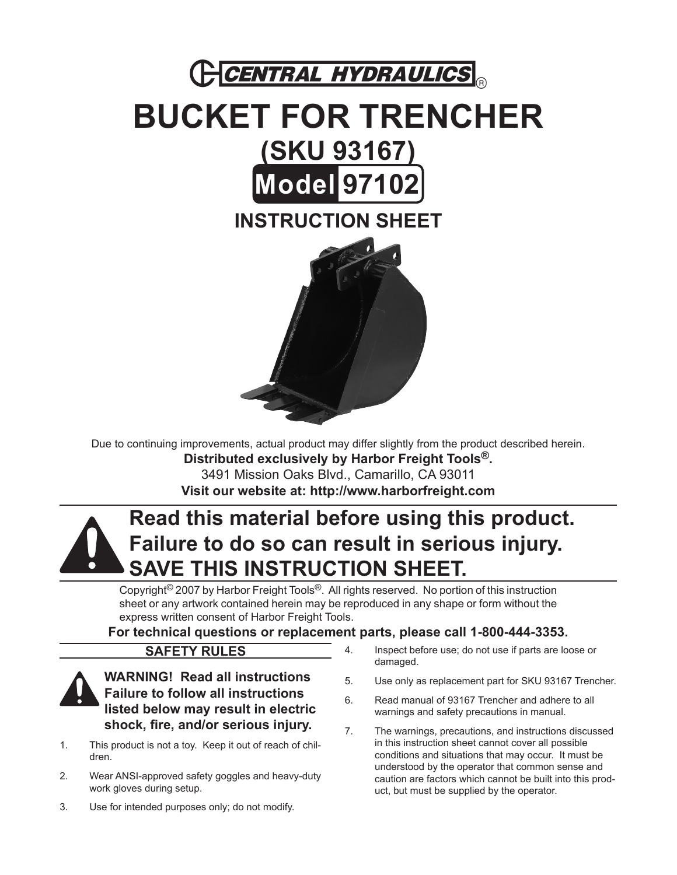

# **BUCKET FOR TRENCHER (SKU 93167) Model 97102 Instruction Sheet**



Due to continuing improvements, actual product may differ slightly from the product described herein.

**Distributed exclusively by Harbor Freight Tools®.** 3491 Mission Oaks Blvd., Camarillo, CA 93011 **Visit our website at: http://www.harborfreight.com**

## **Read this material before using this product. Failure to do so can result in serious injury. Save this instruction sheet.**

Copyright© 2007 by Harbor Freight Tools®. All rights reserved. No portion of this instruction sheet or any artwork contained herein may be reproduced in any shape or form without the express written consent of Harbor Freight Tools.

**For technical questions or replacement parts, please call 1-800-444-3353.**

### **Safety Rules**



**WARNING! Read all instructions Failure to follow all instructions listed below may result in electric shock, fire, and/or serious injury.**

- This product is not a toy. Keep it out of reach of children. 1.
- Wear ANSI-approved safety goggles and heavy-duty work gloves during setup. 2.
- Use for intended purposes only; do not modify. 3.
- Inspect before use; do not use if parts are loose or damaged. 4.
- Use only as replacement part for SKU 93167 Trencher. 5.
- Read manual of 93167 Trencher and adhere to all warnings and safety precautions in manual. 6.
- The warnings, precautions, and instructions discussed in this instruction sheet cannot cover all possible conditions and situations that may occur. It must be understood by the operator that common sense and caution are factors which cannot be built into this product, but must be supplied by the operator. 7.